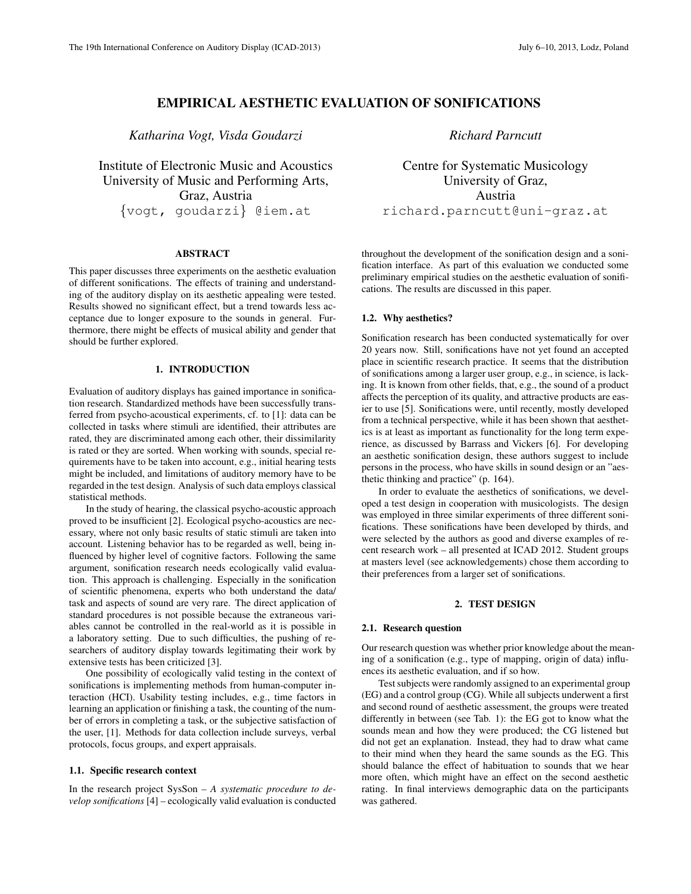# EMPIRICAL AESTHETIC EVALUATION OF SONIFICATIONS

*Katharina Vogt, Visda Goudarzi*

Institute of Electronic Music and Acoustics University of Music and Performing Arts, Graz, Austria {vogt, goudarzi} @iem.at

### ABSTRACT

This paper discusses three experiments on the aesthetic evaluation of different sonifications. The effects of training and understanding of the auditory display on its aesthetic appealing were tested. Results showed no significant effect, but a trend towards less acceptance due to longer exposure to the sounds in general. Furthermore, there might be effects of musical ability and gender that should be further explored.

# 1. INTRODUCTION

Evaluation of auditory displays has gained importance in sonification research. Standardized methods have been successfully transferred from psycho-acoustical experiments, cf. to [1]: data can be collected in tasks where stimuli are identified, their attributes are rated, they are discriminated among each other, their dissimilarity is rated or they are sorted. When working with sounds, special requirements have to be taken into account, e.g., initial hearing tests might be included, and limitations of auditory memory have to be regarded in the test design. Analysis of such data employs classical statistical methods.

In the study of hearing, the classical psycho-acoustic approach proved to be insufficient [2]. Ecological psycho-acoustics are necessary, where not only basic results of static stimuli are taken into account. Listening behavior has to be regarded as well, being influenced by higher level of cognitive factors. Following the same argument, sonification research needs ecologically valid evaluation. This approach is challenging. Especially in the sonification of scientific phenomena, experts who both understand the data/ task and aspects of sound are very rare. The direct application of standard procedures is not possible because the extraneous variables cannot be controlled in the real-world as it is possible in a laboratory setting. Due to such difficulties, the pushing of researchers of auditory display towards legitimating their work by extensive tests has been criticized [3].

One possibility of ecologically valid testing in the context of sonifications is implementing methods from human-computer interaction (HCI). Usability testing includes, e.g., time factors in learning an application or finishing a task, the counting of the number of errors in completing a task, or the subjective satisfaction of the user, [1]. Methods for data collection include surveys, verbal protocols, focus groups, and expert appraisals.

#### 1.1. Specific research context

In the research project SysSon – *A systematic procedure to develop sonifications* [4] – ecologically valid evaluation is conducted *Richard Parncutt*

Centre for Systematic Musicology University of Graz, Austria richard.parncutt@uni-graz.at

throughout the development of the sonification design and a sonification interface. As part of this evaluation we conducted some preliminary empirical studies on the aesthetic evaluation of sonifications. The results are discussed in this paper.

#### 1.2. Why aesthetics?

Sonification research has been conducted systematically for over 20 years now. Still, sonifications have not yet found an accepted place in scientific research practice. It seems that the distribution of sonifications among a larger user group, e.g., in science, is lacking. It is known from other fields, that, e.g., the sound of a product affects the perception of its quality, and attractive products are easier to use [5]. Sonifications were, until recently, mostly developed from a technical perspective, while it has been shown that aesthetics is at least as important as functionality for the long term experience, as discussed by Barrass and Vickers [6]. For developing an aesthetic sonification design, these authors suggest to include persons in the process, who have skills in sound design or an "aesthetic thinking and practice" (p. 164).

In order to evaluate the aesthetics of sonifications, we developed a test design in cooperation with musicologists. The design was employed in three similar experiments of three different sonifications. These sonifications have been developed by thirds, and were selected by the authors as good and diverse examples of recent research work – all presented at ICAD 2012. Student groups at masters level (see acknowledgements) chose them according to their preferences from a larger set of sonifications.

### 2. TEST DESIGN

#### 2.1. Research question

Our research question was whether prior knowledge about the meaning of a sonification (e.g., type of mapping, origin of data) influences its aesthetic evaluation, and if so how.

Test subjects were randomly assigned to an experimental group (EG) and a control group (CG). While all subjects underwent a first and second round of aesthetic assessment, the groups were treated differently in between (see Tab. 1): the EG got to know what the sounds mean and how they were produced; the CG listened but did not get an explanation. Instead, they had to draw what came to their mind when they heard the same sounds as the EG. This should balance the effect of habituation to sounds that we hear more often, which might have an effect on the second aesthetic rating. In final interviews demographic data on the participants was gathered.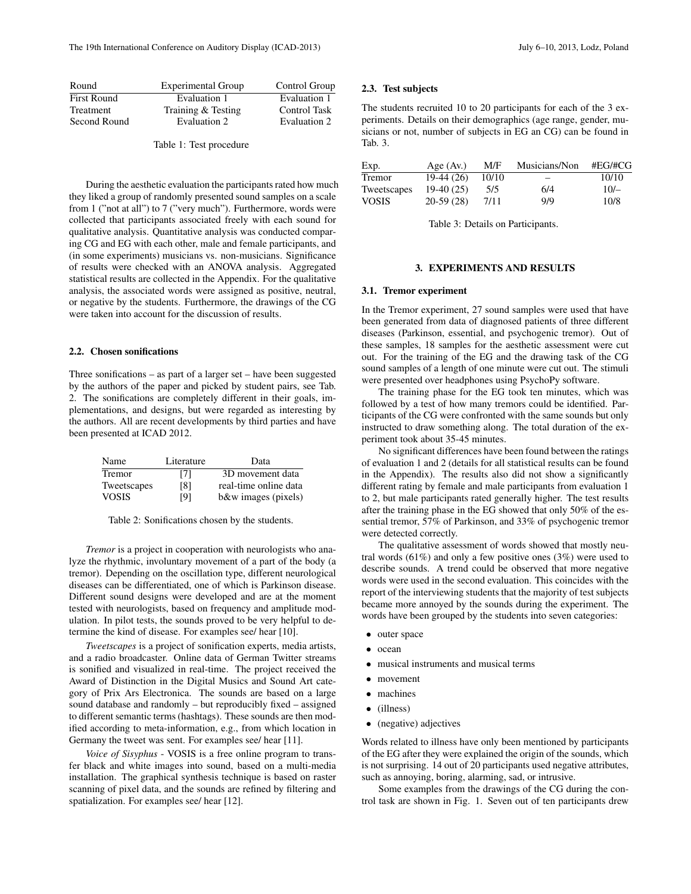| Round              | <b>Experimental Group</b> | Control Group       |
|--------------------|---------------------------|---------------------|
| <b>First Round</b> | Evaluation 1              | Evaluation 1        |
| Treatment          | Training & Testing        | <b>Control Task</b> |
| Second Round       | Evaluation 2              | Evaluation 2        |
|                    |                           |                     |

Table 1: Test procedure

During the aesthetic evaluation the participants rated how much they liked a group of randomly presented sound samples on a scale from 1 ("not at all") to 7 ("very much"). Furthermore, words were collected that participants associated freely with each sound for qualitative analysis. Quantitative analysis was conducted comparing CG and EG with each other, male and female participants, and (in some experiments) musicians vs. non-musicians. Significance of results were checked with an ANOVA analysis. Aggregated statistical results are collected in the Appendix. For the qualitative analysis, the associated words were assigned as positive, neutral, or negative by the students. Furthermore, the drawings of the CG were taken into account for the discussion of results.

# 2.2. Chosen sonifications

Three sonifications – as part of a larger set – have been suggested by the authors of the paper and picked by student pairs, see Tab. 2. The sonifications are completely different in their goals, implementations, and designs, but were regarded as interesting by the authors. All are recent developments by third parties and have been presented at ICAD 2012.

| Name         | Literature | Data                  |
|--------------|------------|-----------------------|
| Tremor       | [7]        | 3D movement data      |
| Tweetscapes  | [8]        | real-time online data |
| <b>VOSIS</b> | [9]        | b&w images (pixels)   |

Table 2: Sonifications chosen by the students.

*Tremor* is a project in cooperation with neurologists who analyze the rhythmic, involuntary movement of a part of the body (a tremor). Depending on the oscillation type, different neurological diseases can be differentiated, one of which is Parkinson disease. Different sound designs were developed and are at the moment tested with neurologists, based on frequency and amplitude modulation. In pilot tests, the sounds proved to be very helpful to determine the kind of disease. For examples see/ hear [10].

*Tweetscapes* is a project of sonification experts, media artists, and a radio broadcaster. Online data of German Twitter streams is sonified and visualized in real-time. The project received the Award of Distinction in the Digital Musics and Sound Art category of Prix Ars Electronica. The sounds are based on a large sound database and randomly – but reproducibly fixed – assigned to different semantic terms (hashtags). These sounds are then modified according to meta-information, e.g., from which location in Germany the tweet was sent. For examples see/ hear [11].

*Voice of Sisyphus* - VOSIS is a free online program to transfer black and white images into sound, based on a multi-media installation. The graphical synthesis technique is based on raster scanning of pixel data, and the sounds are refined by filtering and spatialization. For examples see/ hear [12].

#### 2.3. Test subjects

The students recruited 10 to 20 participants for each of the 3 experiments. Details on their demographics (age range, gender, musicians or not, number of subjects in EG an CG) can be found in Tab. 3.

| Exp.         | Age $(Av)$  | M/F   | Musicians/Non | #EG/HCG |
|--------------|-------------|-------|---------------|---------|
| Tremor       | $19-44(26)$ | 10/10 |               | 10/10   |
| Tweetscapes  | $19-40(25)$ | 5/5   | 6/4           | $10/-$  |
| <b>VOSIS</b> | $20-59(28)$ | 7/11  | 9/9           | 10/8    |

Table 3: Details on Participants.

### 3. EXPERIMENTS AND RESULTS

#### 3.1. Tremor experiment

In the Tremor experiment, 27 sound samples were used that have been generated from data of diagnosed patients of three different diseases (Parkinson, essential, and psychogenic tremor). Out of these samples, 18 samples for the aesthetic assessment were cut out. For the training of the EG and the drawing task of the CG sound samples of a length of one minute were cut out. The stimuli were presented over headphones using PsychoPy software.

The training phase for the EG took ten minutes, which was followed by a test of how many tremors could be identified. Participants of the CG were confronted with the same sounds but only instructed to draw something along. The total duration of the experiment took about 35-45 minutes.

No significant differences have been found between the ratings of evaluation 1 and 2 (details for all statistical results can be found in the Appendix). The results also did not show a significantly different rating by female and male participants from evaluation 1 to 2, but male participants rated generally higher. The test results after the training phase in the EG showed that only 50% of the essential tremor, 57% of Parkinson, and 33% of psychogenic tremor were detected correctly.

The qualitative assessment of words showed that mostly neutral words  $(61\%)$  and only a few positive ones  $(3\%)$  were used to describe sounds. A trend could be observed that more negative words were used in the second evaluation. This coincides with the report of the interviewing students that the majority of test subjects became more annoyed by the sounds during the experiment. The words have been grouped by the students into seven categories:

- outer space
- ocean
- musical instruments and musical terms
- movement
- machines
- (illness)
- (negative) adjectives

Words related to illness have only been mentioned by participants of the EG after they were explained the origin of the sounds, which is not surprising. 14 out of 20 participants used negative attributes, such as annoying, boring, alarming, sad, or intrusive.

Some examples from the drawings of the CG during the control task are shown in Fig. 1. Seven out of ten participants drew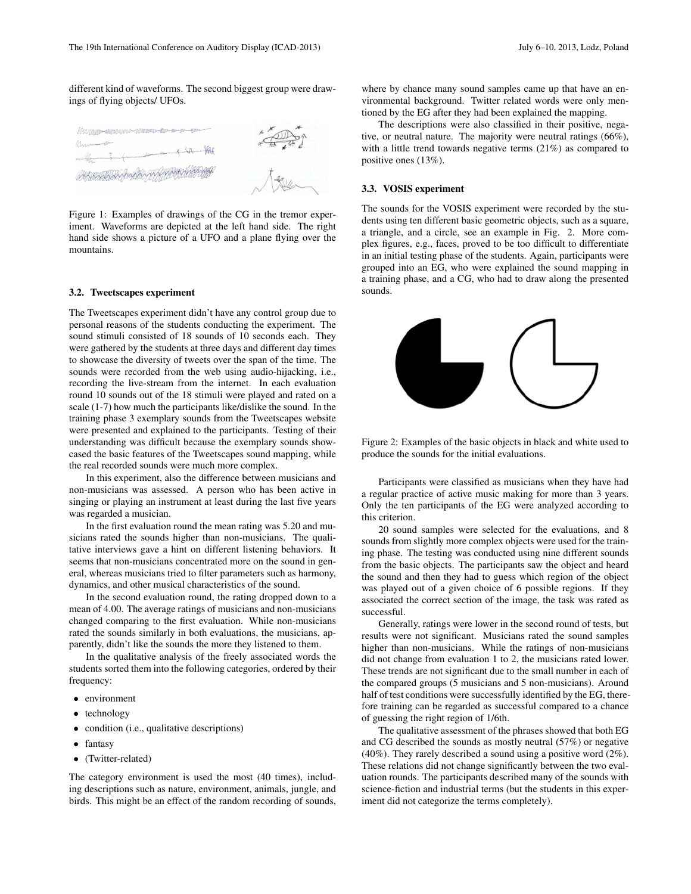different kind of waveforms. The second biggest group were drawings of flying objects/ UFOs.



Figure 1: Examples of drawings of the CG in the tremor experiment. Waveforms are depicted at the left hand side. The right hand side shows a picture of a UFO and a plane flying over the mountains.

#### 3.2. Tweetscapes experiment

The Tweetscapes experiment didn't have any control group due to personal reasons of the students conducting the experiment. The sound stimuli consisted of 18 sounds of 10 seconds each. They were gathered by the students at three days and different day times to showcase the diversity of tweets over the span of the time. The sounds were recorded from the web using audio-hijacking, i.e., recording the live-stream from the internet. In each evaluation round 10 sounds out of the 18 stimuli were played and rated on a scale (1-7) how much the participants like/dislike the sound. In the training phase 3 exemplary sounds from the Tweetscapes website were presented and explained to the participants. Testing of their understanding was difficult because the exemplary sounds showcased the basic features of the Tweetscapes sound mapping, while the real recorded sounds were much more complex.

In this experiment, also the difference between musicians and non-musicians was assessed. A person who has been active in singing or playing an instrument at least during the last five years was regarded a musician.

In the first evaluation round the mean rating was 5.20 and musicians rated the sounds higher than non-musicians. The qualitative interviews gave a hint on different listening behaviors. It seems that non-musicians concentrated more on the sound in general, whereas musicians tried to filter parameters such as harmony, dynamics, and other musical characteristics of the sound.

In the second evaluation round, the rating dropped down to a mean of 4.00. The average ratings of musicians and non-musicians changed comparing to the first evaluation. While non-musicians rated the sounds similarly in both evaluations, the musicians, apparently, didn't like the sounds the more they listened to them.

In the qualitative analysis of the freely associated words the students sorted them into the following categories, ordered by their frequency:

- environment
- technology
- condition (i.e., qualitative descriptions)
- fantasy
- (Twitter-related)

The category environment is used the most (40 times), including descriptions such as nature, environment, animals, jungle, and birds. This might be an effect of the random recording of sounds, where by chance many sound samples came up that have an environmental background. Twitter related words were only mentioned by the EG after they had been explained the mapping.

The descriptions were also classified in their positive, negative, or neutral nature. The majority were neutral ratings (66%), with a little trend towards negative terms (21%) as compared to positive ones (13%).

### 3.3. VOSIS experiment

The sounds for the VOSIS experiment were recorded by the students using ten different basic geometric objects, such as a square, a triangle, and a circle, see an example in Fig. 2. More complex figures, e.g., faces, proved to be too difficult to differentiate in an initial testing phase of the students. Again, participants were grouped into an EG, who were explained the sound mapping in a training phase, and a CG, who had to draw along the presented sounds.



Figure 2: Examples of the basic objects in black and white used to produce the sounds for the initial evaluations.

Participants were classified as musicians when they have had a regular practice of active music making for more than 3 years. Only the ten participants of the EG were analyzed according to this criterion.

20 sound samples were selected for the evaluations, and 8 sounds from slightly more complex objects were used for the training phase. The testing was conducted using nine different sounds from the basic objects. The participants saw the object and heard the sound and then they had to guess which region of the object was played out of a given choice of 6 possible regions. If they associated the correct section of the image, the task was rated as successful.

Generally, ratings were lower in the second round of tests, but results were not significant. Musicians rated the sound samples higher than non-musicians. While the ratings of non-musicians did not change from evaluation 1 to 2, the musicians rated lower. These trends are not significant due to the small number in each of the compared groups (5 musicians and 5 non-musicians). Around half of test conditions were successfully identified by the EG, therefore training can be regarded as successful compared to a chance of guessing the right region of 1/6th.

The qualitative assessment of the phrases showed that both EG and CG described the sounds as mostly neutral (57%) or negative (40%). They rarely described a sound using a positive word (2%). These relations did not change significantly between the two evaluation rounds. The participants described many of the sounds with science-fiction and industrial terms (but the students in this experiment did not categorize the terms completely).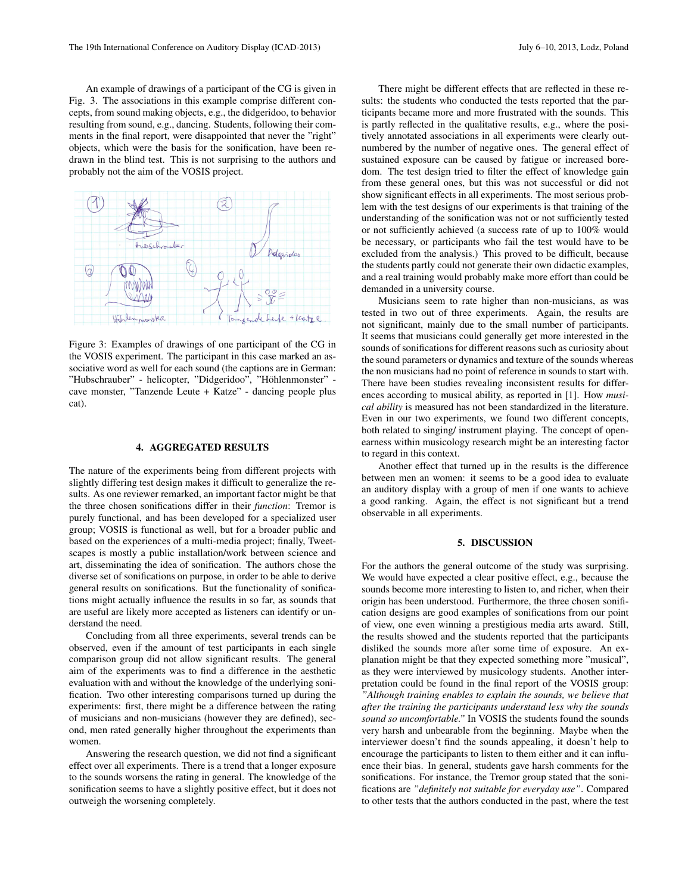An example of drawings of a participant of the CG is given in Fig. 3. The associations in this example comprise different concepts, from sound making objects, e.g., the didgeridoo, to behavior resulting from sound, e.g., dancing. Students, following their comments in the final report, were disappointed that never the "right" objects, which were the basis for the sonification, have been re-

Aueschronde  $\sqrt{3}$ monster + lcatze

drawn in the blind test. This is not surprising to the authors and

probably not the aim of the VOSIS project.

Figure 3: Examples of drawings of one participant of the CG in the VOSIS experiment. The participant in this case marked an associative word as well for each sound (the captions are in German: "Hubschrauber" - helicopter, "Didgeridoo", "Höhlenmonster" cave monster, "Tanzende Leute + Katze" - dancing people plus cat).

# 4. AGGREGATED RESULTS

The nature of the experiments being from different projects with slightly differing test design makes it difficult to generalize the results. As one reviewer remarked, an important factor might be that the three chosen sonifications differ in their *function*: Tremor is purely functional, and has been developed for a specialized user group; VOSIS is functional as well, but for a broader public and based on the experiences of a multi-media project; finally, Tweetscapes is mostly a public installation/work between science and art, disseminating the idea of sonification. The authors chose the diverse set of sonifications on purpose, in order to be able to derive general results on sonifications. But the functionality of sonifications might actually influence the results in so far, as sounds that are useful are likely more accepted as listeners can identify or understand the need.

Concluding from all three experiments, several trends can be observed, even if the amount of test participants in each single comparison group did not allow significant results. The general aim of the experiments was to find a difference in the aesthetic evaluation with and without the knowledge of the underlying sonification. Two other interesting comparisons turned up during the experiments: first, there might be a difference between the rating of musicians and non-musicians (however they are defined), second, men rated generally higher throughout the experiments than women.

Answering the research question, we did not find a significant effect over all experiments. There is a trend that a longer exposure to the sounds worsens the rating in general. The knowledge of the sonification seems to have a slightly positive effect, but it does not outweigh the worsening completely.

There might be different effects that are reflected in these results: the students who conducted the tests reported that the participants became more and more frustrated with the sounds. This is partly reflected in the qualitative results, e.g., where the positively annotated associations in all experiments were clearly outnumbered by the number of negative ones. The general effect of sustained exposure can be caused by fatigue or increased boredom. The test design tried to filter the effect of knowledge gain from these general ones, but this was not successful or did not show significant effects in all experiments. The most serious problem with the test designs of our experiments is that training of the understanding of the sonification was not or not sufficiently tested or not sufficiently achieved (a success rate of up to 100% would be necessary, or participants who fail the test would have to be excluded from the analysis.) This proved to be difficult, because the students partly could not generate their own didactic examples, and a real training would probably make more effort than could be demanded in a university course.

Musicians seem to rate higher than non-musicians, as was tested in two out of three experiments. Again, the results are not significant, mainly due to the small number of participants. It seems that musicians could generally get more interested in the sounds of sonifications for different reasons such as curiosity about the sound parameters or dynamics and texture of the sounds whereas the non musicians had no point of reference in sounds to start with. There have been studies revealing inconsistent results for differences according to musical ability, as reported in [1]. How *musical ability* is measured has not been standardized in the literature. Even in our two experiments, we found two different concepts, both related to singing/ instrument playing. The concept of openearness within musicology research might be an interesting factor to regard in this context.

Another effect that turned up in the results is the difference between men an women: it seems to be a good idea to evaluate an auditory display with a group of men if one wants to achieve a good ranking. Again, the effect is not significant but a trend observable in all experiments.

## 5. DISCUSSION

For the authors the general outcome of the study was surprising. We would have expected a clear positive effect, e.g., because the sounds become more interesting to listen to, and richer, when their origin has been understood. Furthermore, the three chosen sonification designs are good examples of sonifications from our point of view, one even winning a prestigious media arts award. Still, the results showed and the students reported that the participants disliked the sounds more after some time of exposure. An explanation might be that they expected something more "musical", as they were interviewed by musicology students. Another interpretation could be found in the final report of the VOSIS group: *"Although training enables to explain the sounds, we believe that after the training the participants understand less why the sounds sound so uncomfortable."* In VOSIS the students found the sounds very harsh and unbearable from the beginning. Maybe when the interviewer doesn't find the sounds appealing, it doesn't help to encourage the participants to listen to them either and it can influence their bias. In general, students gave harsh comments for the sonifications. For instance, the Tremor group stated that the sonifications are *"definitely not suitable for everyday use"*. Compared to other tests that the authors conducted in the past, where the test